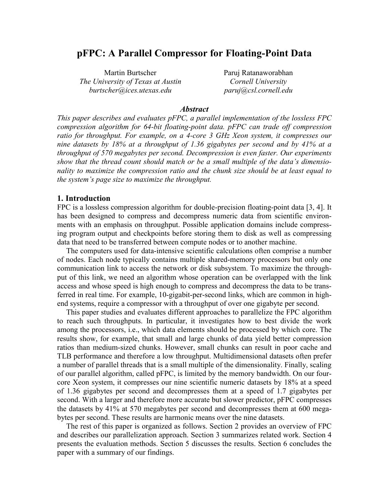# **pFPC: A Parallel Compressor for Floating-Point Data**

Martin Burtscher Paruj Ratanaworabhan  *The University of Texas at Austin Cornell University burtscher@ices.utexas.edu paruj@csl.cornell.edu* 

### *Abstract*

*This paper describes and evaluates pFPC, a parallel implementation of the lossless FPC compression algorithm for 64-bit floating-point data. pFPC can trade off compression ratio for throughput. For example, on a 4-core 3 GHz Xeon system, it compresses our nine datasets by 18% at a throughput of 1.36 gigabytes per second and by 41% at a throughput of 570 megabytes per second. Decompression is even faster. Our experiments show that the thread count should match or be a small multiple of the data's dimensionality to maximize the compression ratio and the chunk size should be at least equal to the system's page size to maximize the throughput.* 

#### **1. Introduction**

FPC is a lossless compression algorithm for double-precision floating-point data [3, 4]. It has been designed to compress and decompress numeric data from scientific environments with an emphasis on throughput. Possible application domains include compressing program output and checkpoints before storing them to disk as well as compressing data that need to be transferred between compute nodes or to another machine.

The computers used for data-intensive scientific calculations often comprise a number of nodes. Each node typically contains multiple shared-memory processors but only one communication link to access the network or disk subsystem. To maximize the throughput of this link, we need an algorithm whose operation can be overlapped with the link access and whose speed is high enough to compress and decompress the data to be transferred in real time. For example, 10-gigabit-per-second links, which are common in highend systems, require a compressor with a throughput of over one gigabyte per second.

This paper studies and evaluates different approaches to parallelize the FPC algorithm to reach such throughputs. In particular, it investigates how to best divide the work among the processors, i.e., which data elements should be processed by which core. The results show, for example, that small and large chunks of data yield better compression ratios than medium-sized chunks. However, small chunks can result in poor cache and TLB performance and therefore a low throughput. Multidimensional datasets often prefer a number of parallel threads that is a small multiple of the dimensionality. Finally, scaling of our parallel algorithm, called pFPC, is limited by the memory bandwidth. On our fourcore Xeon system, it compresses our nine scientific numeric datasets by 18% at a speed of 1.36 gigabytes per second and decompresses them at a speed of 1.7 gigabytes per second. With a larger and therefore more accurate but slower predictor, pFPC compresses the datasets by 41% at 570 megabytes per second and decompresses them at 600 megabytes per second. These results are harmonic means over the nine datasets.

The rest of this paper is organized as follows. Section 2 provides an overview of FPC and describes our parallelization approach. Section 3 summarizes related work. Section 4 presents the evaluation methods. Section 5 discusses the results. Section 6 concludes the paper with a summary of our findings.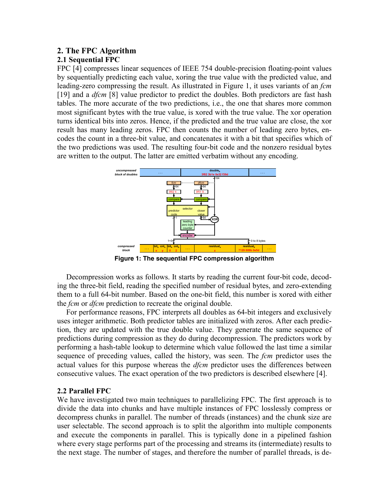# **2. The FPC Algorithm**

## **2.1 Sequential FPC**

FPC [4] compresses linear sequences of IEEE 754 double-precision floating-point values by sequentially predicting each value, xoring the true value with the predicted value, and leading-zero compressing the result. As illustrated in Figure 1, it uses variants of an *fcm* [19] and a *dfcm* [8] value predictor to predict the doubles. Both predictors are fast hash tables. The more accurate of the two predictions, i.e., the one that shares more common most significant bytes with the true value, is xored with the true value. The xor operation turns identical bits into zeros. Hence, if the predicted and the true value are close, the xor result has many leading zeros. FPC then counts the number of leading zero bytes, encodes the count in a three-bit value, and concatenates it with a bit that specifies which of the two predictions was used. The resulting four-bit code and the nonzero residual bytes are written to the output. The latter are emitted verbatim without any encoding.



**Figure 1: The sequential FPC compression algorithm** 

Decompression works as follows. It starts by reading the current four-bit code, decoding the three-bit field, reading the specified number of residual bytes, and zero-extending them to a full 64-bit number. Based on the one-bit field, this number is xored with either the *fcm* or *dfcm* prediction to recreate the original double.

For performance reasons, FPC interprets all doubles as 64-bit integers and exclusively uses integer arithmetic. Both predictor tables are initialized with zeros. After each prediction, they are updated with the true double value. They generate the same sequence of predictions during compression as they do during decompression. The predictors work by performing a hash-table lookup to determine which value followed the last time a similar sequence of preceding values, called the history, was seen. The *fcm* predictor uses the actual values for this purpose whereas the *dfcm* predictor uses the differences between consecutive values. The exact operation of the two predictors is described elsewhere [4].

# **2.2 Parallel FPC**

We have investigated two main techniques to parallelizing FPC. The first approach is to divide the data into chunks and have multiple instances of FPC losslessly compress or decompress chunks in parallel. The number of threads (instances) and the chunk size are user selectable. The second approach is to split the algorithm into multiple components and execute the components in parallel. This is typically done in a pipelined fashion where every stage performs part of the processing and streams its (intermediate) results to the next stage. The number of stages, and therefore the number of parallel threads, is de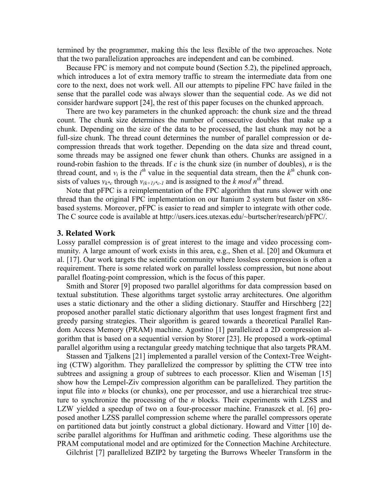termined by the programmer, making this the less flexible of the two approaches. Note that the two parallelization approaches are independent and can be combined.

Because FPC is memory and not compute bound (Section 5.2), the pipelined approach, which introduces a lot of extra memory traffic to stream the intermediate data from one core to the next, does not work well. All our attempts to pipeline FPC have failed in the sense that the parallel code was always slower than the sequential code. As we did not consider hardware support [24], the rest of this paper focuses on the chunked approach.

There are two key parameters in the chunked approach: the chunk size and the thread count. The chunk size determines the number of consecutive doubles that make up a chunk. Depending on the size of the data to be processed, the last chunk may not be a full-size chunk. The thread count determines the number of parallel compression or decompression threads that work together. Depending on the data size and thread count, some threads may be assigned one fewer chunk than others. Chunks are assigned in a round-robin fashion to the threads. If *c* is the chunk size (in number of doubles), *n* is the thread count, and  $v_i$  is the *i*<sup>th</sup> value in the sequential data stream, then the  $k^{th}$  chunk consists of values  $v_{k*c}$  through  $v_{k+1,*c-1}$  and is assigned to the *k mod n<sup>th</sup>* thread.

Note that pFPC is a reimplementation of the FPC algorithm that runs slower with one thread than the original FPC implementation on our Itanium 2 system but faster on x86 based systems. Moreover, pFPC is easier to read and simpler to integrate with other code. The C source code is available at http://users.ices.utexas.edu/~burtscher/research/pFPC/.

### **3. Related Work**

Lossy parallel compression is of great interest to the image and video processing community. A large amount of work exists in this area, e.g., Shen et al. [20] and Okumura et al. [17]. Our work targets the scientific community where lossless compression is often a requirement. There is some related work on parallel lossless compression, but none about parallel floating-point compression, which is the focus of this paper.

Smith and Storer [9] proposed two parallel algorithms for data compression based on textual substitution. These algorithms target systolic array architectures. One algorithm uses a static dictionary and the other a sliding dictionary. Stauffer and Hirschberg [22] proposed another parallel static dictionary algorithm that uses longest fragment first and greedy parsing strategies. Their algorithm is geared towards a theoretical Parallel Random Access Memory (PRAM) machine. Agostino [1] parallelized a 2D compression algorithm that is based on a sequential version by Storer [23]. He proposed a work-optimal parallel algorithm using a rectangular greedy matching technique that also targets PRAM.

Stassen and Tjalkens [21] implemented a parallel version of the Context-Tree Weighting (CTW) algorithm. They parallelized the compressor by splitting the CTW tree into subtrees and assigning a group of subtrees to each processor. Klien and Wiseman [15] show how the Lempel-Ziv compression algorithm can be parallelized. They partition the input file into *n* blocks (or chunks), one per processor, and use a hierarchical tree structure to synchronize the processing of the *n* blocks. Their experiments with LZSS and LZW yielded a speedup of two on a four-processor machine. Franaszek et al. [6] proposed another LZSS parallel compression scheme where the parallel compressors operate on partitioned data but jointly construct a global dictionary. Howard and Vitter [10] describe parallel algorithms for Huffman and arithmetic coding. These algorithms use the PRAM computational model and are optimized for the Connection Machine Architecture.

Gilchrist [7] parallelized BZIP2 by targeting the Burrows Wheeler Transform in the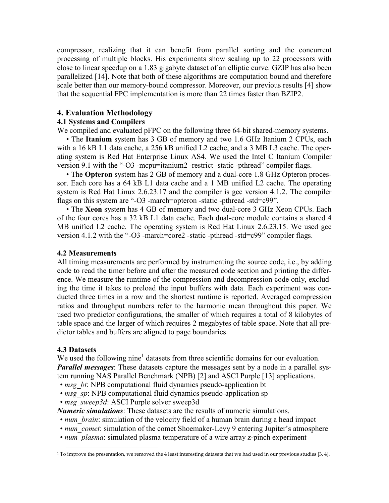compressor, realizing that it can benefit from parallel sorting and the concurrent processing of multiple blocks. His experiments show scaling up to 22 processors with close to linear speedup on a 1.83 gigabyte dataset of an elliptic curve. GZIP has also been parallelized [14]. Note that both of these algorithms are computation bound and therefore scale better than our memory-bound compressor. Moreover, our previous results [4] show that the sequential FPC implementation is more than 22 times faster than BZIP2.

# **4. Evaluation Methodology**

## **4.1 Systems and Compilers**

We compiled and evaluated pFPC on the following three 64-bit shared-memory systems.

• The **Itanium** system has 3 GB of memory and two 1.6 GHz Itanium 2 CPUs, each with a 16 kB L1 data cache, a 256 kB unified L2 cache, and a 3 MB L3 cache. The operating system is Red Hat Enterprise Linux AS4. We used the Intel C Itanium Compiler version 9.1 with the "-O3 -mcpu=itanium2 -restrict -static -pthread" compiler flags.

• The **Opteron** system has 2 GB of memory and a dual-core 1.8 GHz Opteron processor. Each core has a 64 kB L1 data cache and a 1 MB unified L2 cache. The operating system is Red Hat Linux 2.6.23.17 and the compiler is gcc version 4.1.2. The compiler flags on this system are "-O3 -march=opteron -static -pthread -std=c99".

• The **Xeon** system has 4 GB of memory and two dual-core 3 GHz Xeon CPUs. Each of the four cores has a 32 kB L1 data cache. Each dual-core module contains a shared 4 MB unified L2 cache. The operating system is Red Hat Linux 2.6.23.15. We used gcc version 4.1.2 with the "-O3 -march=core2 -static -pthread -std=c99" compiler flags.

### **4.2 Measurements**

All timing measurements are performed by instrumenting the source code, i.e., by adding code to read the timer before and after the measured code section and printing the difference. We measure the runtime of the compression and decompression code only, excluding the time it takes to preload the input buffers with data. Each experiment was conducted three times in a row and the shortest runtime is reported. Averaged compression ratios and throughput numbers refer to the harmonic mean throughout this paper. We used two predictor configurations, the smaller of which requires a total of 8 kilobytes of table space and the larger of which requires 2 megabytes of table space. Note that all predictor tables and buffers are aligned to page boundaries.

### **4.3 Datasets**

 $\overline{a}$ 

We used the following nine<sup>1</sup> datasets from three scientific domains for our evaluation. *Parallel messages*: These datasets capture the messages sent by a node in a parallel system running NAS Parallel Benchmark (NPB) [2] and ASCI Purple [13] applications.

- *msg\_bt*: NPB computational fluid dynamics pseudo-application bt
- *msg\_sp*: NPB computational fluid dynamics pseudo-application sp
- *msg\_sweep3d*: ASCI Purple solver sweep3d

*Numeric simulations*: These datasets are the results of numeric simulations.

- *num brain*: simulation of the velocity field of a human brain during a head impact
- *num\_comet*: simulation of the comet Shoemaker-Levy 9 entering Jupiter's atmosphere
- *num\_plasma*: simulated plasma temperature of a wire array z-pinch experiment

 $1$  To improve the presentation, we removed the 4 least interesting datasets that we had used in our previous studies [3, 4].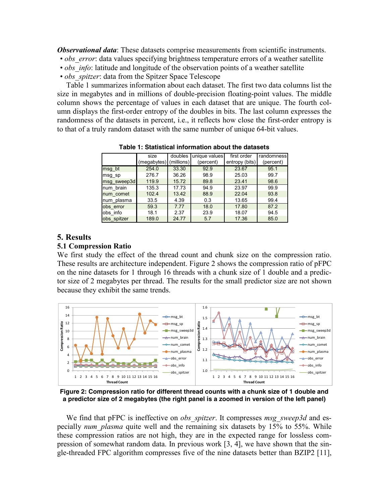*Observational data*: These datasets comprise measurements from scientific instruments.

- *obs error*: data values specifying brightness temperature errors of a weather satellite
- *obs info*: latitude and longitude of the observation points of a weather satellite
- *obs spitzer*: data from the Spitzer Space Telescope

Table 1 summarizes information about each dataset. The first two data columns list the size in megabytes and in millions of double-precision floating-point values. The middle column shows the percentage of values in each dataset that are unique. The fourth column displays the first-order entropy of the doubles in bits. The last column expresses the randomness of the datasets in percent, i.e., it reflects how close the first-order entropy is to that of a truly random dataset with the same number of unique 64-bit values.

|             | size        | doubles    | unique values | first order    | randomnessl |
|-------------|-------------|------------|---------------|----------------|-------------|
|             | (megabytes) | (millions) | (percent)     | entropy (bits) | (percent)   |
| msg_bt      | 254.0       | 33.30      | 92.9          | 23.67          | 95.1        |
| msg sp      | 276.7       | 36.26      | 98.9          | 25.03          | 99.7        |
| msg_sweep3d | 119.9       | 15.72      | 89.8          | 23.41          | 98.6        |
| num_brain   | 135.3       | 17.73      | 94.9          | 23.97          | 99.9        |
| num comet   | 102.4       | 13.42      | 88.9          | 22.04          | 93.8        |
| num plasma  | 33.5        | 4.39       | 0.3           | 13.65          | 99.4        |
| obs error   | 59.3        | 7.77       | 18.0          | 17.80          | 87.2        |
| obs info    | 18.1        | 2.37       | 23.9          | 18.07          | 94.5        |
| obs spitzer | 189.0       | 24.77      | 5.7           | 17.36          | 85.0        |

**Table 1: Statistical information about the datasets** 

# **5. Results**

# **5.1 Compression Ratio**

We first study the effect of the thread count and chunk size on the compression ratio. These results are architecture independent. Figure 2 shows the compression ratio of pFPC on the nine datasets for 1 through 16 threads with a chunk size of 1 double and a predictor size of 2 megabytes per thread. The results for the small predictor size are not shown because they exhibit the same trends.



**Figure 2: Compression ratio for different thread counts with a chunk size of 1 double and a predictor size of 2 megabytes (the right panel is a zoomed in version of the left panel)** 

We find that pFPC is ineffective on *obs spitzer*. It compresses *msg sweep3d* and especially *num\_plasma* quite well and the remaining six datasets by 15% to 55%. While these compression ratios are not high, they are in the expected range for lossless compression of somewhat random data. In previous work [3, 4], we have shown that the single-threaded FPC algorithm compresses five of the nine datasets better than BZIP2 [11],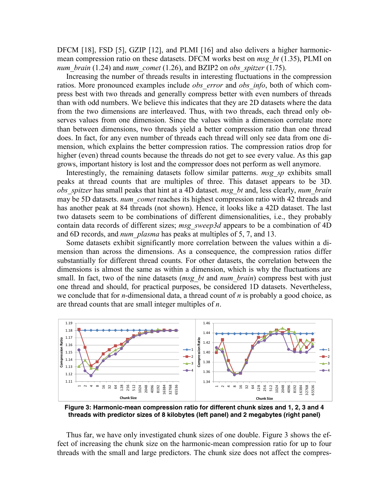DFCM [18], FSD [5], GZIP [12], and PLMI [16] and also delivers a higher harmonicmean compression ratio on these datasets. DFCM works best on *msg\_bt* (1.35), PLMI on *num\_brain* (1.24) and *num\_comet* (1.26), and BZIP2 on *obs\_spitzer* (1.75).

Increasing the number of threads results in interesting fluctuations in the compression ratios. More pronounced examples include *obs\_error* and *obs\_info*, both of which compress best with two threads and generally compress better with even numbers of threads than with odd numbers. We believe this indicates that they are 2D datasets where the data from the two dimensions are interleaved. Thus, with two threads, each thread only observes values from one dimension. Since the values within a dimension correlate more than between dimensions, two threads yield a better compression ratio than one thread does. In fact, for any even number of threads each thread will only see data from one dimension, which explains the better compression ratios. The compression ratios drop for higher (even) thread counts because the threads do not get to see every value. As this gap grows, important history is lost and the compressor does not perform as well anymore.

Interestingly, the remaining datasets follow similar patterns. *msg\_sp* exhibits small peaks at thread counts that are multiples of three. This dataset appears to be 3D. *obs\_spitzer* has small peaks that hint at a 4D dataset. *msg\_bt* and, less clearly, *num\_brain* may be 5D datasets. *num\_comet* reaches its highest compression ratio with 42 threads and has another peak at 84 threads (not shown). Hence, it looks like a 42D dataset. The last two datasets seem to be combinations of different dimensionalities, i.e., they probably contain data records of different sizes; *msg\_sweep3d* appears to be a combination of 4D and 6D records, and *num\_plasma* has peaks at multiples of 5, 7, and 13.

Some datasets exhibit significantly more correlation between the values within a dimension than across the dimensions. As a consequence, the compression ratios differ substantially for different thread counts. For other datasets, the correlation between the dimensions is almost the same as within a dimension, which is why the fluctuations are small. In fact, two of the nine datasets (*msg\_bt* and *num\_brain*) compress best with just one thread and should, for practical purposes, be considered 1D datasets. Nevertheless, we conclude that for *n*-dimensional data, a thread count of *n* is probably a good choice, as are thread counts that are small integer multiples of *n*.



**Figure 3: Harmonic-mean compression ratio for different chunk sizes and 1, 2, 3 and 4 threads with predictor sizes of 8 kilobytes (left panel) and 2 megabytes (right panel)** 

Thus far, we have only investigated chunk sizes of one double. Figure 3 shows the effect of increasing the chunk size on the harmonic-mean compression ratio for up to four threads with the small and large predictors. The chunk size does not affect the compres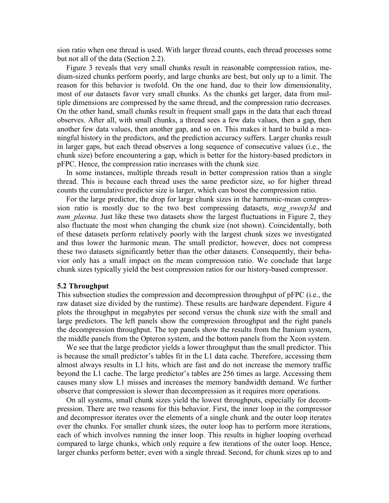sion ratio when one thread is used. With larger thread counts, each thread processes some but not all of the data (Section 2.2).

Figure 3 reveals that very small chunks result in reasonable compression ratios, medium-sized chunks perform poorly, and large chunks are best, but only up to a limit. The reason for this behavior is twofold. On the one hand, due to their low dimensionality, most of our datasets favor very small chunks. As the chunks get larger, data from multiple dimensions are compressed by the same thread, and the compression ratio decreases. On the other hand, small chunks result in frequent small gaps in the data that each thread observes. After all, with small chunks, a thread sees a few data values, then a gap, then another few data values, then another gap, and so on. This makes it hard to build a meaningful history in the predictors, and the prediction accuracy suffers. Larger chunks result in larger gaps, but each thread observes a long sequence of consecutive values (i.e., the chunk size) before encountering a gap, which is better for the history-based predictors in pFPC. Hence, the compression ratio increases with the chunk size.

In some instances, multiple threads result in better compression ratios than a single thread. This is because each thread uses the same predictor size, so for higher thread counts the cumulative predictor size is larger, which can boost the compression ratio.

For the large predictor, the drop for large chunk sizes in the harmonic-mean compression ratio is mostly due to the two best compressing datasets, *msg\_sweep3d* and *num\_plasma*. Just like these two datasets show the largest fluctuations in Figure 2, they also fluctuate the most when changing the chunk size (not shown). Coincidentally, both of these datasets perform relatively poorly with the largest chunk sizes we investigated and thus lower the harmonic mean. The small predictor, however, does not compress these two datasets significantly better than the other datasets. Consequently, their behavior only has a small impact on the mean compression ratio. We conclude that large chunk sizes typically yield the best compression ratios for our history-based compressor.

#### **5.2 Throughput**

This subsection studies the compression and decompression throughput of pFPC (i.e., the raw dataset size divided by the runtime). These results are hardware dependent. Figure 4 plots the throughput in megabytes per second versus the chunk size with the small and large predictors. The left panels show the compression throughput and the right panels the decompression throughput. The top panels show the results from the Itanium system, the middle panels from the Opteron system, and the bottom panels from the Xeon system.

We see that the large predictor yields a lower throughput than the small predictor. This is because the small predictor's tables fit in the L1 data cache. Therefore, accessing them almost always results in L1 hits, which are fast and do not increase the memory traffic beyond the L1 cache. The large predictor's tables are 256 times as large. Accessing them causes many slow L1 misses and increases the memory bandwidth demand. We further observe that compression is slower than decompression as it requires more operations.

On all systems, small chunk sizes yield the lowest throughputs, especially for decompression. There are two reasons for this behavior. First, the inner loop in the compressor and decompressor iterates over the elements of a single chunk and the outer loop iterates over the chunks. For smaller chunk sizes, the outer loop has to perform more iterations, each of which involves running the inner loop. This results in higher looping overhead compared to large chunks, which only require a few iterations of the outer loop. Hence, larger chunks perform better, even with a single thread. Second, for chunk sizes up to and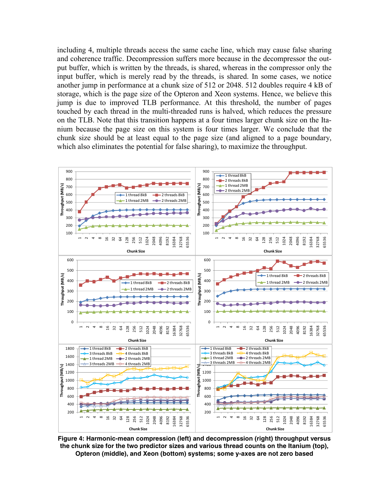including 4, multiple threads access the same cache line, which may cause false sharing and coherence traffic. Decompression suffers more because in the decompressor the output buffer, which is written by the threads, is shared, whereas in the compressor only the input buffer, which is merely read by the threads, is shared. In some cases, we notice another jump in performance at a chunk size of 512 or 2048. 512 doubles require 4 kB of storage, which is the page size of the Opteron and Xeon systems. Hence, we believe this jump is due to improved TLB performance. At this threshold, the number of pages touched by each thread in the multi-threaded runs is halved, which reduces the pressure on the TLB. Note that this transition happens at a four times larger chunk size on the Itanium because the page size on this system is four times larger. We conclude that the chunk size should be at least equal to the page size (and aligned to a page boundary, which also eliminates the potential for false sharing), to maximize the throughput.



**Figure 4: Harmonic-mean compression (left) and decompression (right) throughput versus the chunk size for the two predictor sizes and various thread counts on the Itanium (top), Opteron (middle), and Xeon (bottom) systems; some y-axes are not zero based**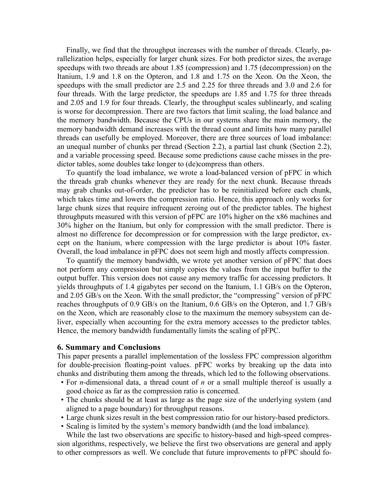Finally, we find that the throughput increases with the number of threads. Clearly, parallelization helps, especially for larger chunk sizes. For both predictor sizes, the average speedups with two threads are about 1.85 (compression) and 1.75 (decompression) on the Itanium, 1.9 and 1.8 on the Opteron, and 1.8 and 1.75 on the Xeon. On the Xeon, the speedups with the small predictor are 2.5 and 2.25 for three threads and 3.0 and 2.6 for four threads. With the large predictor, the speedups are 1.85 and 1.75 for three threads and 2.05 and 1.9 for four threads. Clearly, the throughput scales sublinearly, and scaling is worse for decompression. There are two factors that limit scaling, the load balance and the memory bandwidth. Because the CPUs in our systems share the main memory, the memory bandwidth demand increases with the thread count and limits how many parallel threads can usefully be employed. Moreover, there are three sources of load imbalance: an unequal number of chunks per thread (Section 2.2), a partial last chunk (Section 2.2), and a variable processing speed. Because some predictions cause cache misses in the predictor tables, some doubles take longer to (de)compress than others.

To quantify the load imbalance, we wrote a load-balanced version of pFPC in which the threads grab chunks whenever they are ready for the next chunk. Because threads may grab chunks out-of-order, the predictor has to be reinitialized before each chunk, which takes time and lowers the compression ratio. Hence, this approach only works for large chunk sizes that require infrequent zeroing out of the predictor tables. The highest throughputs measured with this version of pFPC are 10% higher on the x86 machines and 30% higher on the Itanium, but only for compression with the small predictor. There is almost no difference for decompression or for compression with the large predictor, except on the Itanium, where compression with the large predictor is about 10% faster. Overall, the load imbalance in pFPC does not seem high and mostly affects compression.

To quantify the memory bandwidth, we wrote yet another version of pFPC that does not perform any compression but simply copies the values from the input buffer to the output buffer. This version does not cause any memory traffic for accessing predictors. It yields throughputs of 1.4 gigabytes per second on the Itanium, 1.1 GB/s on the Opteron, and 2.05 GB/s on the Xeon. With the small predictor, the "compressing" version of pFPC reaches throughputs of 0.9 GB/s on the Itanium, 0.6 GB/s on the Opteron, and 1.7 GB/s on the Xeon, which are reasonably close to the maximum the memory subsystem can deliver, especially when accounting for the extra memory accesses to the predictor tables. Hence, the memory bandwidth fundamentally limits the scaling of pFPC.

#### **6. Summary and Conclusions**

This paper presents a parallel implementation of the lossless FPC compression algorithm for double-precision floating-point values. pFPC works by breaking up the data into chunks and distributing them among the threads, which led to the following observations.

- For *n*-dimensional data, a thread count of *n* or a small multiple thereof is usually a good choice as far as the compression ratio is concerned.
- The chunks should be at least as large as the page size of the underlying system (and aligned to a page boundary) for throughput reasons.
- Large chunk sizes result in the best compression ratio for our history-based predictors.
- Scaling is limited by the system's memory bandwidth (and the load imbalance).

While the last two observations are specific to history-based and high-speed compression algorithms, respectively, we believe the first two observations are general and apply to other compressors as well. We conclude that future improvements to pFPC should fo-